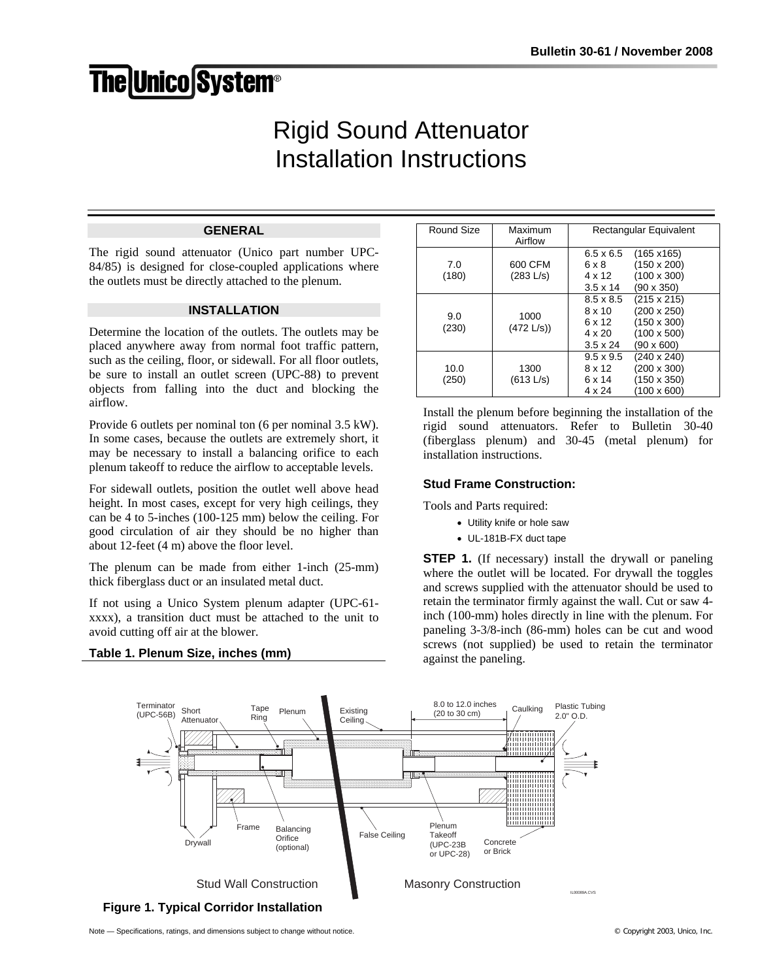# **The Unico System®**

# Rigid Sound Attenuator Installation Instructions

# **GENERAL**

The rigid sound attenuator (Unico part number UPC-84/85) is designed for close-coupled applications where the outlets must be directly attached to the plenum.

#### **INSTALLATION**

Determine the location of the outlets. The outlets may be placed anywhere away from normal foot traffic pattern, such as the ceiling, floor, or sidewall. For all floor outlets, be sure to install an outlet screen (UPC-88) to prevent objects from falling into the duct and blocking the airflow.

Provide 6 outlets per nominal ton (6 per nominal 3.5 kW). In some cases, because the outlets are extremely short, it may be necessary to install a balancing orifice to each plenum takeoff to reduce the airflow to acceptable levels.

For sidewall outlets, position the outlet well above head height. In most cases, except for very high ceilings, they can be 4 to 5-inches (100-125 mm) below the ceiling. For good circulation of air they should be no higher than about 12-feet (4 m) above the floor level.

The plenum can be made from either 1-inch (25-mm) thick fiberglass duct or an insulated metal duct.

If not using a Unico System plenum adapter (UPC-61 xxxx), a transition duct must be attached to the unit to avoid cutting off air at the blower.

#### **Table 1. Plenum Size, inches (mm)**

| Round Size    | Maximum<br>Airflow   | Rectangular Equivalent                                                                                                                                                         |
|---------------|----------------------|--------------------------------------------------------------------------------------------------------------------------------------------------------------------------------|
| 7.0<br>(180)  | 600 CFM<br>(283 L/s) | $6.5 \times 6.5$<br>$(165 \times 165)$<br>(150 x 200)<br>6 x 8<br>$(100 \times 300)$<br>4 x 12<br>(90 x 350)<br>$3.5 \times 14$                                                |
| 9.0<br>(230)  | 1000<br>(472 L/s)    | $(215 \times 215)$<br>$8.5 \times 8.5$<br>(200 x 250)<br>$8 \times 10$<br>(150 x 300)<br>6 x 12<br>$(100 \times 500)$<br>$4 \times 20$<br>$(90 \times 600)$<br>$3.5 \times 24$ |
| 10.0<br>(250) | 1300<br>(613 L/s)    | $9.5 \times 9.5$<br>$(240 \times 240)$<br>(200 x 300)<br>$8 \times 12$<br>(150 x 350)<br>6 x 14<br>(100 x 600)<br>$4 \times 24$                                                |

Install the plenum before beginning the installation of the rigid sound attenuators. Refer to Bulletin 30-40 (fiberglass plenum) and 30-45 (metal plenum) for installation instructions.

# **Stud Frame Construction:**

Tools and Parts required:

- Utility knife or hole saw
- UL-181B-FX duct tape

**STEP 1.** (If necessary) install the drywall or paneling where the outlet will be located. For drywall the toggles and screws supplied with the attenuator should be used to retain the terminator firmly against the wall. Cut or saw 4 inch (100-mm) holes directly in line with the plenum. For paneling 3-3/8-inch (86-mm) holes can be cut and wood screws (not supplied) be used to retain the terminator against the paneling.